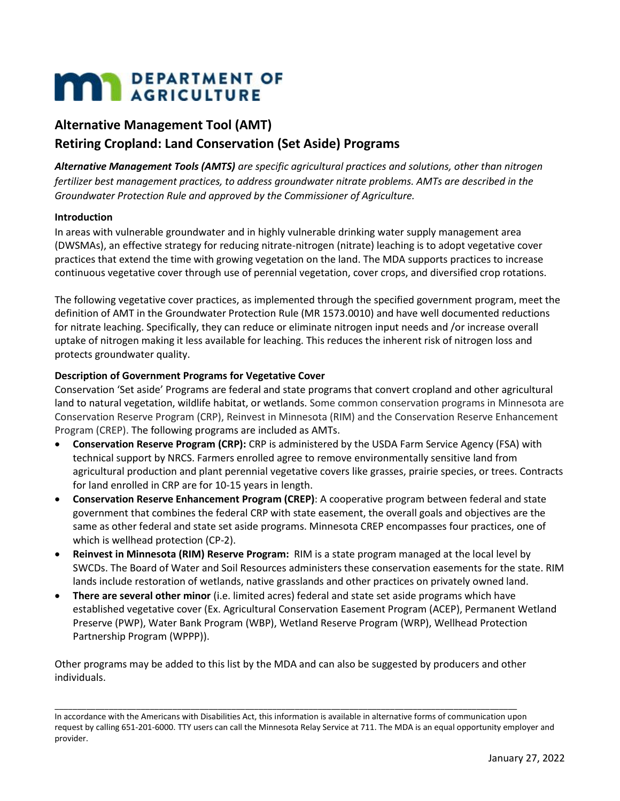# **MAN** DEPARTMENT OF

# **Alternative Management Tool (AMT) Retiring Cropland: Land Conservation (Set Aside) Programs**

*Alternative Management Tools (AMTS) are specific agricultural practices and solutions, other than nitrogen fertilizer best management practices, to address groundwater nitrate problems. AMTs are described in the Groundwater Protection Rule and approved by the Commissioner of Agriculture.* 

## **Introduction**

In areas with vulnerable groundwater and in highly vulnerable drinking water supply management area (DWSMAs), an effective strategy for reducing nitrate-nitrogen (nitrate) leaching is to adopt vegetative cover practices that extend the time with growing vegetation on the land. The MDA supports practices to increase continuous vegetative cover through use of perennial vegetation, cover crops, and diversified crop rotations.

The following vegetative cover practices, as implemented through the specified government program, meet the definition of AMT in the Groundwater Protection Rule (MR 1573.0010) and have well documented reductions for nitrate leaching. Specifically, they can reduce or eliminate nitrogen input needs and /or increase overall uptake of nitrogen making it less available for leaching. This reduces the inherent risk of nitrogen loss and protects groundwater quality.

## **Description of Government Programs for Vegetative Cover**

Conservation 'Set aside' Programs are federal and state programs that convert cropland and other agricultural land to natural vegetation, wildlife habitat, or wetlands. Some common conservation programs in Minnesota are Conservation Reserve Program (CRP), Reinvest in Minnesota (RIM) and the Conservation Reserve Enhancement Program (CREP). The following programs are included as AMTs.

- **Conservation Reserve Program (CRP):** CRP is administered by the USDA Farm Service Agency (FSA) with technical support by NRCS. Farmers enrolled agree to remove environmentally sensitive land from agricultural production and plant perennial vegetative covers like grasses, prairie species, or trees. Contracts for land enrolled in CRP are for 10-15 years in length.
- **Conservation Reserve Enhancement Program (CREP)**: A cooperative program between federal and state government that combines the federal CRP with state easement, the overall goals and objectives are the same as other federal and state set aside programs. Minnesota CREP encompasses four practices, one of which is wellhead protection (CP-2).
- **Reinvest in Minnesota (RIM) Reserve Program:** RIM is a state program managed at the local level by SWCDs. The Board of Water and Soil Resources administers these conservation easements for the state. RIM lands include restoration of wetlands, native grasslands and other practices on privately owned land.
- **There are several other minor** (i.e. limited acres) federal and state set aside programs which have established vegetative cover (Ex. Agricultural Conservation Easement Program (ACEP), Permanent Wetland Preserve (PWP), Water Bank Program (WBP), Wetland Reserve Program (WRP), Wellhead Protection Partnership Program (WPPP)).

Other programs may be added to this list by the MDA and can also be suggested by producers and other individuals.

\_\_\_\_\_\_\_\_\_\_\_\_\_\_\_\_\_\_\_\_\_\_\_\_\_\_\_\_\_\_\_\_\_\_\_\_\_\_\_\_\_\_\_\_\_\_\_\_\_\_\_\_\_\_\_\_\_\_\_\_\_\_\_\_\_\_\_\_\_\_\_\_\_\_\_\_\_\_\_\_\_\_\_\_\_\_\_\_\_\_\_\_\_\_\_\_\_\_\_\_\_\_

In accordance with the Americans with Disabilities Act, this information is available in alternative forms of communication upon request by calling 651-201-6000. TTY users can call the Minnesota Relay Service at 711. The MDA is an equal opportunity employer and provider.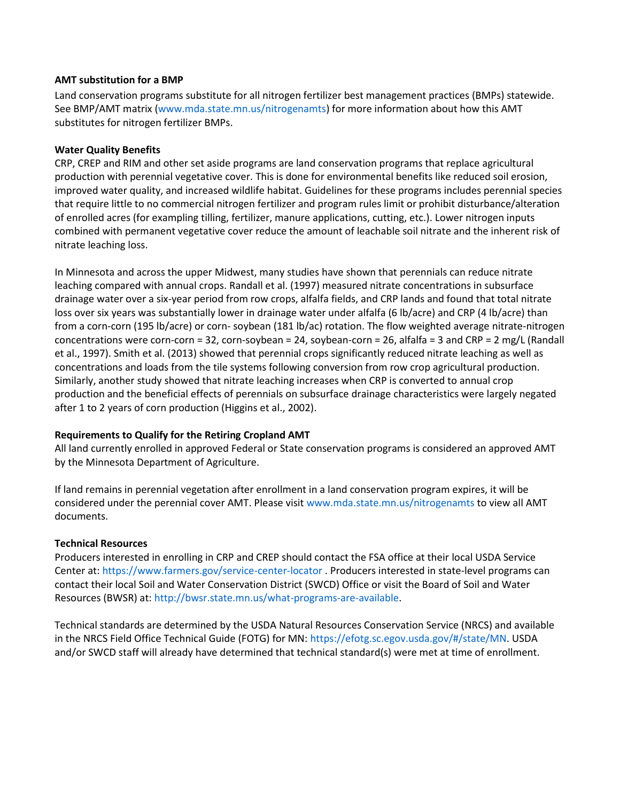#### **AMT substitution for a BMP**

Land conservation programs substitute for all nitrogen fertilizer best management practices (BMPs) statewide. See BMP/AMT matrix (www.mda.state.mn.us/nitrogenamts) for more information about how this AMT substitutes for nitrogen fertilizer BMPs.

#### **Water Quality Benefits**

CRP, CREP and RIM and other set aside programs are land conservation programs that replace agricultural production with perennial vegetative cover. This is done for environmental benefits like reduced soil erosion, improved water quality, and increased wildlife habitat. Guidelines for these programs includes perennial species that require little to no commercial nitrogen fertilizer and program rules limit or prohibit disturbance/alteration of enrolled acres (for exampling tilling, fertilizer, manure applications, cutting, etc.). Lower nitrogen inputs combined with permanent vegetative cover reduce the amount of leachable soil nitrate and the inherent risk of nitrate leaching loss.

In Minnesota and across the upper Midwest, many studies have shown that perennials can reduce nitrate leaching compared with annual crops. Randall et al. (1997) measured nitrate concentrations in subsurface drainage water over a six-year period from row crops, alfalfa fields, and CRP lands and found that total nitrate loss over six years was substantially lower in drainage water under alfalfa (6 lb/acre) and CRP (4 lb/acre) than from a corn-corn (195 lb/acre) or corn- soybean (181 lb/ac) rotation. The flow weighted average nitrate-nitrogen concentrations were corn-corn = 32, corn-soybean = 24, soybean-corn = 26, alfalfa = 3 and CRP = 2 mg/L (Randall et al., 1997). Smith et al. (2013) showed that perennial crops significantly reduced nitrate leaching as well as concentrations and loads from the tile systems following conversion from row crop agricultural production. Similarly, another study showed that nitrate leaching increases when CRP is converted to annual crop production and the beneficial effects of perennials on subsurface drainage characteristics were largely negated after 1 to 2 years of corn production (Higgins et al., 2002).

#### **Requirements to Qualify for the Retiring Cropland AMT**

All land currently enrolled in approved Federal or State conservation programs is considered an approved AMT by the Minnesota Department of Agriculture.

If land remains in perennial vegetation after enrollment in a land conservation program expires, it will be considered under the perennial cover AMT. Please visit www.mda.state.mn.us/nitrogenamts to view all AMT documents.

#### **Technical Resources**

Producers interested in enrolling in CRP and CREP should contact the FSA office at their local USDA Service Center at:<https://www.farmers.gov/service-center-locator> . Producers interested in state-level programs can contact their local Soil and Water Conservation District (SWCD) Office or visit the Board of Soil and Water Resources (BWSR) at: [http://bwsr.state.mn.us/what-programs-are-available.](http://bwsr.state.mn.us/what-programs-are-available)

Technical standards are determined by the USDA Natural Resources Conservation Service (NRCS) and available in the NRCS Field Office Technical Guide (FOTG) for MN: [https://efotg.sc.egov.usda.gov/#/state/MN.](https://efotg.sc.egov.usda.gov/#/state/MN) USDA and/or SWCD staff will already have determined that technical standard(s) were met at time of enrollment.